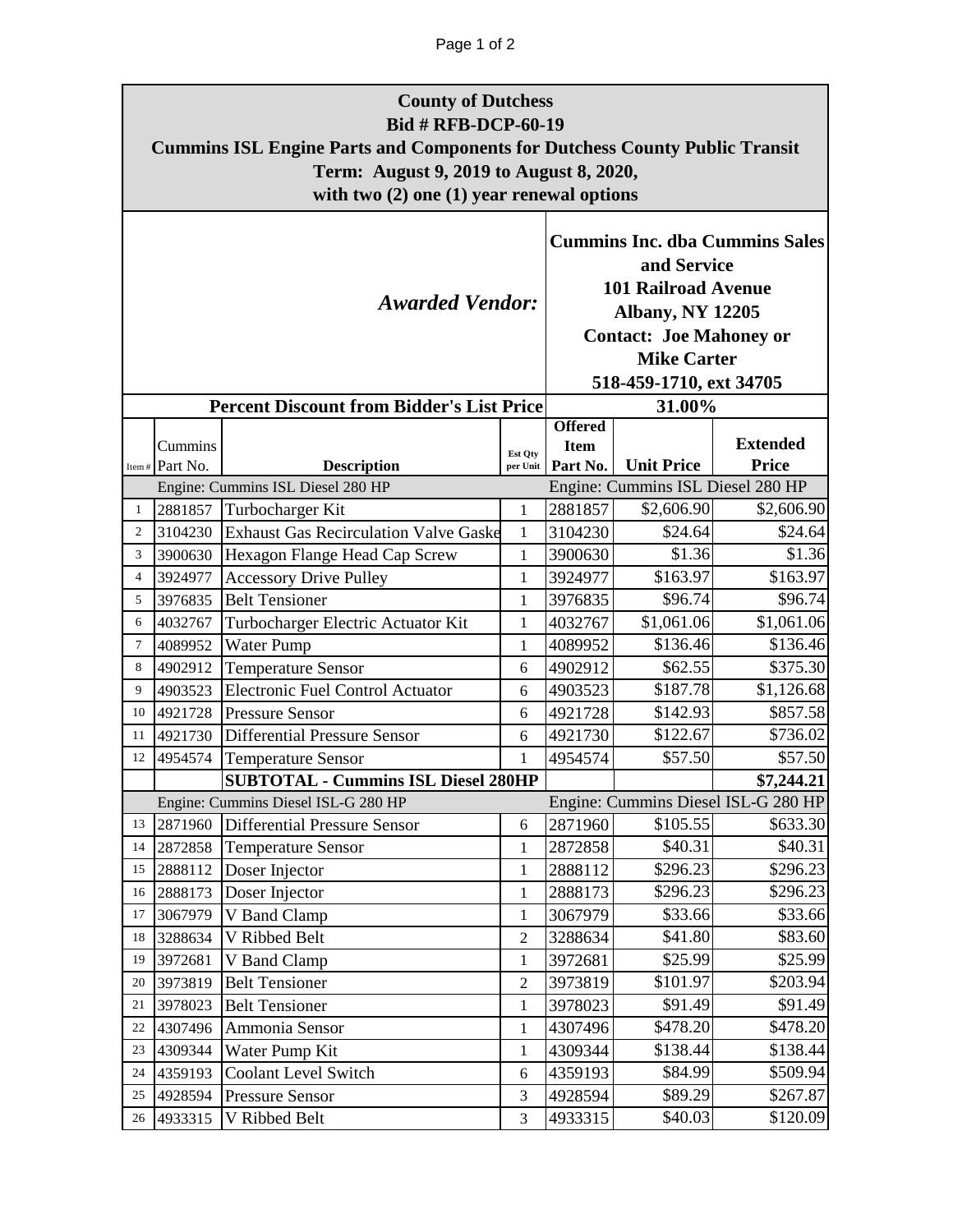## Page 1 of 2

|                | <b>County of Dutchess</b><br><b>Bid # RFB-DCP-60-19</b><br><b>Cummins ISL Engine Parts and Components for Dutchess County Public Transit</b><br>Term: August 9, 2019 to August 8, 2020,<br>with two $(2)$ one $(1)$ year renewal options |                                                        |                                                                                                                                                                                                  |                         |                                   |                                     |  |  |  |  |  |
|----------------|------------------------------------------------------------------------------------------------------------------------------------------------------------------------------------------------------------------------------------------|--------------------------------------------------------|--------------------------------------------------------------------------------------------------------------------------------------------------------------------------------------------------|-------------------------|-----------------------------------|-------------------------------------|--|--|--|--|--|
|                |                                                                                                                                                                                                                                          | <b>Awarded Vendor:</b>                                 | <b>Cummins Inc. dba Cummins Sales</b><br>and Service<br><b>101 Railroad Avenue</b><br><b>Albany, NY 12205</b><br><b>Contact: Joe Mahoney or</b><br><b>Mike Carter</b><br>518-459-1710, ext 34705 |                         |                                   |                                     |  |  |  |  |  |
|                |                                                                                                                                                                                                                                          | <b>Percent Discount from Bidder's List Price</b>       |                                                                                                                                                                                                  | <b>Offered</b>          | 31.00%                            |                                     |  |  |  |  |  |
|                | Cummins<br>Item# Part No.                                                                                                                                                                                                                | <b>Description</b>                                     | Est Qty<br>per Unit                                                                                                                                                                              | <b>Item</b><br>Part No. | <b>Unit Price</b>                 | <b>Extended</b><br><b>Price</b>     |  |  |  |  |  |
|                |                                                                                                                                                                                                                                          | Engine: Cummins ISL Diesel 280 HP                      |                                                                                                                                                                                                  |                         | Engine: Cummins ISL Diesel 280 HP |                                     |  |  |  |  |  |
| 1              | 2881857                                                                                                                                                                                                                                  | Turbocharger Kit                                       | $\mathbf{1}$                                                                                                                                                                                     | 2881857                 | \$2,606.90                        | \$2,606.90                          |  |  |  |  |  |
| $\overline{2}$ | 3104230                                                                                                                                                                                                                                  | <b>Exhaust Gas Recirculation Valve Gaske</b>           | $\mathbf{1}$                                                                                                                                                                                     | 3104230                 | $\overline{$}24.64$               | \$24.64                             |  |  |  |  |  |
| 3              | 3900630                                                                                                                                                                                                                                  | Hexagon Flange Head Cap Screw                          | $\mathbf{1}$                                                                                                                                                                                     | 3900630                 | \$1.36                            | \$1.36                              |  |  |  |  |  |
| $\overline{4}$ | 3924977<br>3976835                                                                                                                                                                                                                       | <b>Accessory Drive Pulley</b><br><b>Belt Tensioner</b> | $\mathbf{1}$                                                                                                                                                                                     | 3924977                 | \$163.97<br>\$96.74               | \$163.97<br>\$96.74                 |  |  |  |  |  |
| 5<br>6         | 4032767                                                                                                                                                                                                                                  | Turbocharger Electric Actuator Kit                     | $\mathbf{1}$<br>$\mathbf{1}$                                                                                                                                                                     | 3976835<br>4032767      | \$1,061.06                        | \$1,061.06                          |  |  |  |  |  |
| $\tau$         | 4089952                                                                                                                                                                                                                                  | Water Pump                                             | 1                                                                                                                                                                                                | 4089952                 | \$136.46                          | \$136.46                            |  |  |  |  |  |
| 8              | 4902912                                                                                                                                                                                                                                  | <b>Temperature Sensor</b>                              | 6                                                                                                                                                                                                | 4902912                 | \$62.55                           | \$375.30                            |  |  |  |  |  |
| 9              | 4903523                                                                                                                                                                                                                                  | <b>Electronic Fuel Control Actuator</b>                | 6                                                                                                                                                                                                | 4903523                 | \$187.78                          | \$1,126.68                          |  |  |  |  |  |
| 10             | 4921728                                                                                                                                                                                                                                  | <b>Pressure Sensor</b>                                 | 6                                                                                                                                                                                                | 4921728                 | \$142.93                          | \$857.58                            |  |  |  |  |  |
| 11             | 4921730                                                                                                                                                                                                                                  | <b>Differential Pressure Sensor</b>                    | 6                                                                                                                                                                                                | 4921730                 | \$122.67                          | \$736.02                            |  |  |  |  |  |
| 12             | 4954574                                                                                                                                                                                                                                  | <b>Temperature Sensor</b>                              | 1                                                                                                                                                                                                | 4954574                 | \$57.50                           | \$57.50                             |  |  |  |  |  |
|                |                                                                                                                                                                                                                                          | <b>SUBTOTAL - Cummins ISL Diesel 280HP</b>             |                                                                                                                                                                                                  |                         |                                   | \$7,244.21                          |  |  |  |  |  |
|                |                                                                                                                                                                                                                                          | Engine: Cummins Diesel ISL-G 280 HP                    |                                                                                                                                                                                                  |                         |                                   | Engine: Cummins Diesel ISL-G 280 HP |  |  |  |  |  |
| 13             | 2871960                                                                                                                                                                                                                                  | <b>Differential Pressure Sensor</b>                    | 6                                                                                                                                                                                                | 2871960                 | \$105.55                          | \$633.30                            |  |  |  |  |  |
| 14             | 2872858                                                                                                                                                                                                                                  | <b>Temperature Sensor</b>                              | $\mathbf{1}$                                                                                                                                                                                     | 2872858                 | \$40.31                           | \$40.31                             |  |  |  |  |  |
| 15             | 2888112                                                                                                                                                                                                                                  | Doser Injector                                         | $\mathbf{1}$                                                                                                                                                                                     | 2888112                 | \$296.23                          | \$296.23                            |  |  |  |  |  |
| 16             | 2888173                                                                                                                                                                                                                                  | Doser Injector                                         | 1                                                                                                                                                                                                | 2888173                 | \$296.23                          | \$296.23                            |  |  |  |  |  |
| 17             | 3067979                                                                                                                                                                                                                                  | V Band Clamp                                           | $\mathbf{1}$                                                                                                                                                                                     | 3067979                 | \$33.66                           | \$33.66                             |  |  |  |  |  |
| 18             | 3288634                                                                                                                                                                                                                                  | V Ribbed Belt                                          | $\sqrt{2}$                                                                                                                                                                                       | 3288634                 | \$41.80                           | \$83.60                             |  |  |  |  |  |
| 19             | 3972681                                                                                                                                                                                                                                  | V Band Clamp                                           | $\mathbf{1}$                                                                                                                                                                                     | 3972681                 | \$25.99                           | \$25.99                             |  |  |  |  |  |
| 20             | 3973819                                                                                                                                                                                                                                  | <b>Belt Tensioner</b>                                  | $\sqrt{2}$                                                                                                                                                                                       | 3973819                 | \$101.97                          | \$203.94                            |  |  |  |  |  |
| 21             | 3978023                                                                                                                                                                                                                                  | <b>Belt Tensioner</b>                                  | $\mathbf{1}$                                                                                                                                                                                     | 3978023                 | \$91.49                           | \$91.49                             |  |  |  |  |  |
| 22             | 4307496                                                                                                                                                                                                                                  | Ammonia Sensor                                         | 1                                                                                                                                                                                                | 4307496                 | \$478.20                          | \$478.20                            |  |  |  |  |  |
| 23             | 4309344                                                                                                                                                                                                                                  | Water Pump Kit                                         | 1                                                                                                                                                                                                | 4309344                 | \$138.44                          | \$138.44                            |  |  |  |  |  |
| 24             | 4359193                                                                                                                                                                                                                                  | <b>Coolant Level Switch</b>                            | 6                                                                                                                                                                                                | 4359193                 | \$84.99                           | \$509.94                            |  |  |  |  |  |
| 25             | 4928594                                                                                                                                                                                                                                  | <b>Pressure Sensor</b>                                 | $\mathfrak{Z}$                                                                                                                                                                                   | 4928594                 | \$89.29                           | \$267.87                            |  |  |  |  |  |
| 26             | 4933315                                                                                                                                                                                                                                  | V Ribbed Belt                                          | 3                                                                                                                                                                                                | 4933315                 | \$40.03                           | \$120.09                            |  |  |  |  |  |